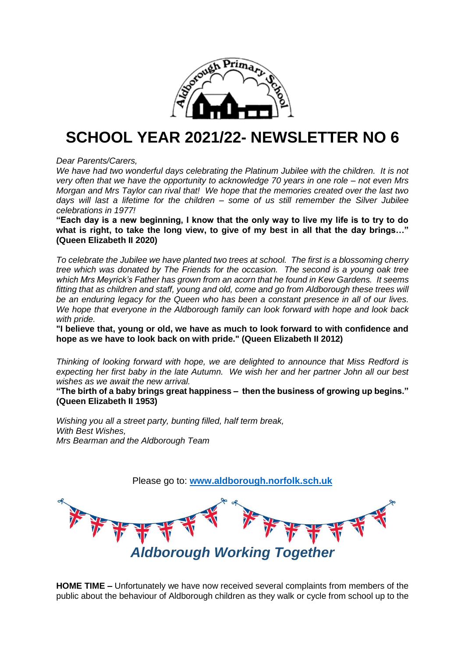

## **SCHOOL YEAR 2021/22- NEWSLETTER NO 6**

*Dear Parents/Carers,*

*We have had two wonderful days celebrating the Platinum Jubilee with the children. It is not very often that we have the opportunity to acknowledge 70 years in one role – not even Mrs Morgan and Mrs Taylor can rival that! We hope that the memories created over the last two days will last a lifetime for the children – some of us still remember the Silver Jubilee celebrations in 1977!*

**"Each day is a new beginning, I know that the only way to live my life is to try to do what is right, to take the long view, to give of my best in all that the day brings…" (Queen Elizabeth II 2020)**

*To celebrate the Jubilee we have planted two trees at school. The first is a blossoming cherry tree which was donated by The Friends for the occasion. The second is a young oak tree which Mrs Meyrick's Father has grown from an acorn that he found in Kew Gardens. It seems fitting that as children and staff, young and old, come and go from Aldborough these trees will be an enduring legacy for the Queen who has been a constant presence in all of our lives. We hope that everyone in the Aldborough family can look forward with hope and look back with pride.*

**"I believe that, young or old, we have as much to look forward to with confidence and hope as we have to look back on with pride." (Queen Elizabeth II 2012)**

*Thinking of looking forward with hope, we are delighted to announce that Miss Redford is expecting her first baby in the late Autumn. We wish her and her partner John all our best wishes as we await the new arrival.*

**"The birth of a baby brings great happiness – then the business of growing up begins." (Queen Elizabeth II 1953)**

*Wishing you all a street party, bunting filled, half term break, With Best Wishes, Mrs Bearman and the Aldborough Team*



**HOME TIME –** Unfortunately we have now received several complaints from members of the public about the behaviour of Aldborough children as they walk or cycle from school up to the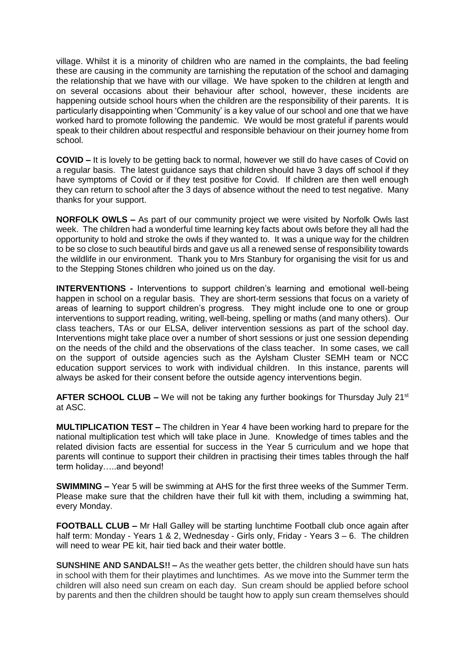village. Whilst it is a minority of children who are named in the complaints, the bad feeling these are causing in the community are tarnishing the reputation of the school and damaging the relationship that we have with our village. We have spoken to the children at length and on several occasions about their behaviour after school, however, these incidents are happening outside school hours when the children are the responsibility of their parents. It is particularly disappointing when 'Community' is a key value of our school and one that we have worked hard to promote following the pandemic. We would be most grateful if parents would speak to their children about respectful and responsible behaviour on their journey home from school.

**COVID –** It is lovely to be getting back to normal, however we still do have cases of Covid on a regular basis. The latest guidance says that children should have 3 days off school if they have symptoms of Covid or if they test positive for Covid. If children are then well enough they can return to school after the 3 days of absence without the need to test negative. Many thanks for your support.

**NORFOLK OWLS –** As part of our community project we were visited by Norfolk Owls last week. The children had a wonderful time learning key facts about owls before they all had the opportunity to hold and stroke the owls if they wanted to. It was a unique way for the children to be so close to such beautiful birds and gave us all a renewed sense of responsibility towards the wildlife in our environment. Thank you to Mrs Stanbury for organising the visit for us and to the Stepping Stones children who joined us on the day.

**INTERVENTIONS -** Interventions to support children's learning and emotional well-being happen in school on a regular basis. They are short-term sessions that focus on a variety of areas of learning to support children's progress. They might include one to one or group interventions to support reading, writing, well-being, spelling or maths (and many others). Our class teachers, TAs or our ELSA, deliver intervention sessions as part of the school day. Interventions might take place over a number of short sessions or just one session depending on the needs of the child and the observations of the class teacher. In some cases, we call on the support of outside agencies such as the Aylsham Cluster SEMH team or NCC education support services to work with individual children. In this instance, parents will always be asked for their consent before the outside agency interventions begin.

**AFTER SCHOOL CLUB** – We will not be taking any further bookings for Thursday July 21<sup>st</sup> at ASC.

**MULTIPLICATION TEST –** The children in Year 4 have been working hard to prepare for the national multiplication test which will take place in June. Knowledge of times tables and the related division facts are essential for success in the Year 5 curriculum and we hope that parents will continue to support their children in practising their times tables through the half term holiday…..and beyond!

**SWIMMING –** Year 5 will be swimming at AHS for the first three weeks of the Summer Term. Please make sure that the children have their full kit with them, including a swimming hat, every Monday.

**FOOTBALL CLUB –** Mr Hall Galley will be starting lunchtime Football club once again after half term: Monday - Years 1 & 2, Wednesday - Girls only, Friday - Years 3 – 6. The children will need to wear PE kit, hair tied back and their water bottle.

**SUNSHINE AND SANDALS!! –** As the weather gets better, the children should have sun hats in school with them for their playtimes and lunchtimes. As we move into the Summer term the children will also need sun cream on each day. Sun cream should be applied before school by parents and then the children should be taught how to apply sun cream themselves should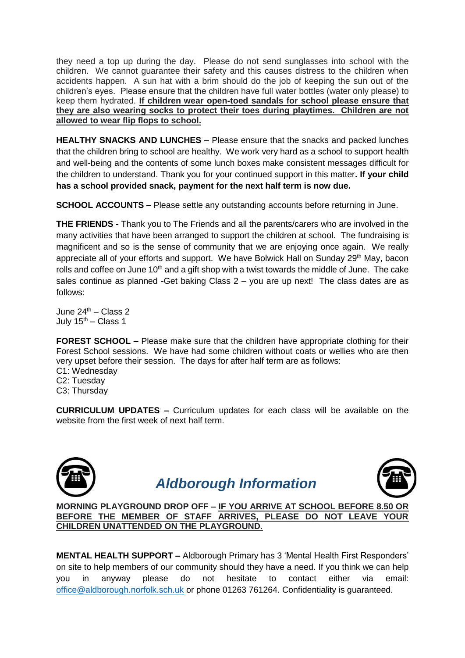they need a top up during the day. Please do not send sunglasses into school with the children. We cannot guarantee their safety and this causes distress to the children when accidents happen. A sun hat with a brim should do the job of keeping the sun out of the children's eyes. Please ensure that the children have full water bottles (water only please) to keep them hydrated. **If children wear open-toed sandals for school please ensure that they are also wearing socks to protect their toes during playtimes. Children are not allowed to wear flip flops to school.**

**HEALTHY SNACKS AND LUNCHES –** Please ensure that the snacks and packed lunches that the children bring to school are healthy. We work very hard as a school to support health and well-being and the contents of some lunch boxes make consistent messages difficult for the children to understand. Thank you for your continued support in this matter**. If your child has a school provided snack, payment for the next half term is now due.**

**SCHOOL ACCOUNTS –** Please settle any outstanding accounts before returning in June.

**THE FRIENDS -** Thank you to The Friends and all the parents/carers who are involved in the many activities that have been arranged to support the children at school. The fundraising is magnificent and so is the sense of community that we are enjoying once again. We really appreciate all of your efforts and support. We have Bolwick Hall on Sunday  $29<sup>th</sup>$  May, bacon rolls and coffee on June 10<sup>th</sup> and a gift shop with a twist towards the middle of June. The cake sales continue as planned -Get baking Class 2 – you are up next! The class dates are as follows:

June  $24^{\text{th}}$  – Class 2 July  $15^{th}$  – Class 1

**FOREST SCHOOL –** Please make sure that the children have appropriate clothing for their Forest School sessions. We have had some children without coats or wellies who are then very upset before their session. The days for after half term are as follows:

C1: Wednesday C2: Tuesday C3: Thursday

**CURRICULUM UPDATES –** Curriculum updates for each class will be available on the website from the first week of next half term.



## *Aldborough Information*



**MORNING PLAYGROUND DROP OFF – IF YOU ARRIVE AT SCHOOL BEFORE 8.50 OR BEFORE THE MEMBER OF STAFF ARRIVES, PLEASE DO NOT LEAVE YOUR CHILDREN UNATTENDED ON THE PLAYGROUND.**

**MENTAL HEALTH SUPPORT –** Aldborough Primary has 3 'Mental Health First Responders' on site to help members of our community should they have a need. If you think we can help you in anyway please do not hesitate to contact either via email: [office@aldborough.norfolk.sch.uk](mailto:office@aldborough.norfolk.sch.uk) or phone 01263 761264. Confidentiality is guaranteed.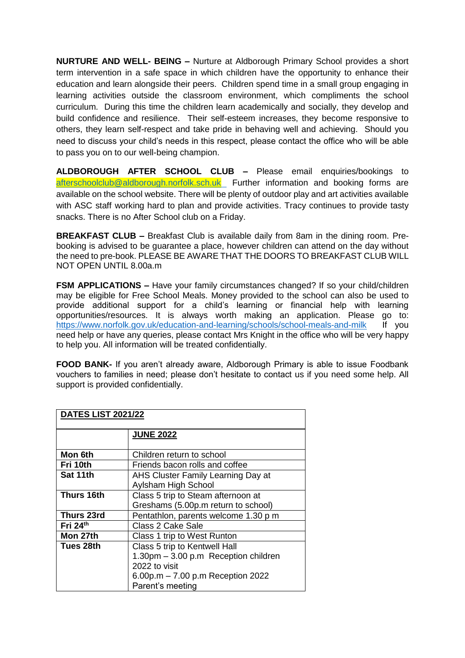**NURTURE AND WELL- BEING –** Nurture at Aldborough Primary School provides a short term intervention in a safe space in which children have the opportunity to enhance their education and learn alongside their peers. Children spend time in a small group engaging in learning activities outside the classroom environment, which compliments the school curriculum. During this time the children learn academically and socially, they develop and build confidence and resilience. Their self-esteem increases, they become responsive to others, they learn self-respect and take pride in behaving well and achieving. Should you need to discuss your child's needs in this respect, please contact the office who will be able to pass you on to our well-being champion.

**ALDBOROUGH AFTER SCHOOL CLUB –** Please email enquiries/bookings to [afterschoolclub@aldborough.norfolk.sch.uk](mailto:afterschoolclub@aldborough.norfolk.sch.uk) Further information and booking forms are available on the school website. There will be plenty of outdoor play and art activities available with ASC staff working hard to plan and provide activities. Tracy continues to provide tasty snacks. There is no After School club on a Friday.

**BREAKFAST CLUB –** Breakfast Club is available daily from 8am in the dining room. Prebooking is advised to be guarantee a place, however children can attend on the day without the need to pre-book. PLEASE BE AWARE THAT THE DOORS TO BREAKFAST CLUB WILL NOT OPEN UNTIL 8.00a.m

**FSM APPLICATIONS –** Have your family circumstances changed? If so your child/children may be eligible for Free School Meals. Money provided to the school can also be used to provide additional support for a child's learning or financial help with learning opportunities/resources. It is always worth making an application. Please go to: <https://www.norfolk.gov.uk/education-and-learning/schools/school-meals-and-milk>If you need help or have any queries, please contact Mrs Knight in the office who will be very happy to help you. All information will be treated confidentially.

**FOOD BANK-** If you aren't already aware, Aldborough Primary is able to issue Foodbank vouchers to families in need; please don't hesitate to contact us if you need some help. All support is provided confidentially.

| <b>DATES LIST 2021/22</b> |                                      |
|---------------------------|--------------------------------------|
|                           | <b>JUNE 2022</b>                     |
| Mon 6th                   | Children return to school            |
| Fri 10th                  | Friends bacon rolls and coffee       |
| Sat 11th                  | AHS Cluster Family Learning Day at   |
|                           | Aylsham High School                  |
| Thurs 16th                | Class 5 trip to Steam afternoon at   |
|                           | Greshams (5.00p.m return to school)  |
| <b>Thurs 23rd</b>         | Pentathlon, parents welcome 1.30 p m |
| Fri 24th                  | <b>Class 2 Cake Sale</b>             |
| Mon 27th                  | Class 1 trip to West Runton          |
| Tues 28th                 | Class 5 trip to Kentwell Hall        |
|                           | 1.30pm - 3.00 p.m Reception children |
|                           | 2022 to visit                        |
|                           | 6.00p.m $- 7.00$ p.m Reception 2022  |
|                           | Parent's meeting                     |